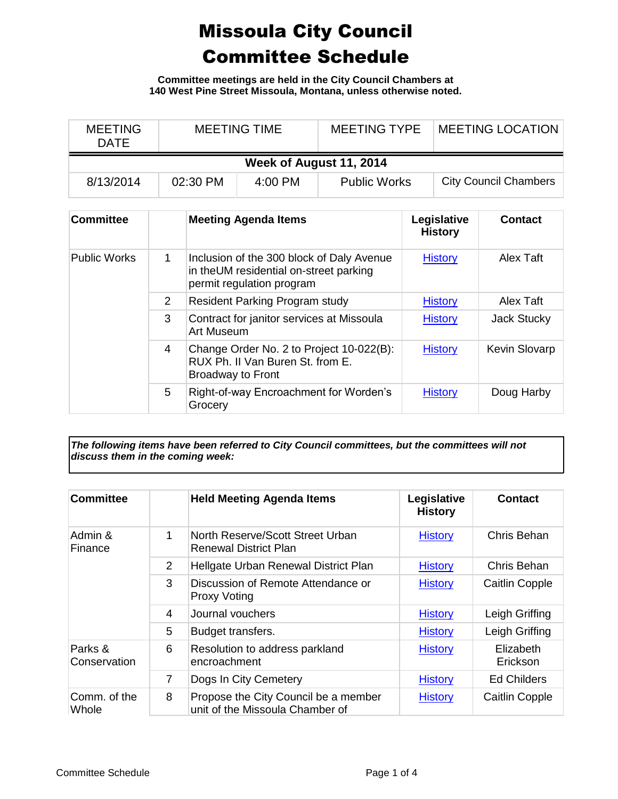## Missoula City Council Committee Schedule

**Committee meetings are held in the City Council Chambers at 140 West Pine Street Missoula, Montana, unless otherwise noted.**

| <b>MEETING</b><br><b>DATE</b> | <b>MEETING TIME</b> |         | <b>MEETING TYPE</b> | <b>MEETING LOCATION</b>      |  |  |
|-------------------------------|---------------------|---------|---------------------|------------------------------|--|--|
| Week of August 11, 2014       |                     |         |                     |                              |  |  |
| 8/13/2014                     | 02:30 PM            | 4:00 PM | <b>Public Works</b> | <b>City Council Chambers</b> |  |  |

| <b>Committee</b>    |               | <b>Meeting Agenda Items</b>                                                                                      | Legislative<br><b>History</b> | <b>Contact</b>       |
|---------------------|---------------|------------------------------------------------------------------------------------------------------------------|-------------------------------|----------------------|
| <b>Public Works</b> | 1             | Inclusion of the 300 block of Daly Avenue<br>in theUM residential on-street parking<br>permit regulation program | <b>History</b>                | Alex Taft            |
|                     | $\mathcal{P}$ | <b>Resident Parking Program study</b>                                                                            | <b>History</b>                | Alex Taft            |
|                     | 3             | Contract for janitor services at Missoula<br>Art Museum                                                          | <b>History</b>                | <b>Jack Stucky</b>   |
|                     | 4             | Change Order No. 2 to Project 10-022(B):<br>RUX Ph. II Van Buren St. from E.<br><b>Broadway to Front</b>         | <b>History</b>                | <b>Kevin Slovarp</b> |
|                     | 5             | Right-of-way Encroachment for Worden's<br>Grocery                                                                | <b>History</b>                | Doug Harby           |

*The following items have been referred to City Council committees, but the committees will not discuss them in the coming week:*

| <b>Committee</b>        |                | <b>Held Meeting Agenda Items</b>                                        | Legislative<br><b>History</b> | <b>Contact</b>        |
|-------------------------|----------------|-------------------------------------------------------------------------|-------------------------------|-----------------------|
| Admin &<br>Finance      | $\mathbf 1$    | North Reserve/Scott Street Urban<br><b>Renewal District Plan</b>        | <b>History</b>                | Chris Behan           |
|                         | 2              | Hellgate Urban Renewal District Plan                                    | <b>History</b>                | Chris Behan           |
|                         | 3              | Discussion of Remote Attendance or<br><b>Proxy Voting</b>               | <b>History</b>                | <b>Caitlin Copple</b> |
|                         | 4              | Journal vouchers                                                        | <b>History</b>                | Leigh Griffing        |
|                         | 5              | Budget transfers.                                                       | <b>History</b>                | Leigh Griffing        |
| Parks &<br>Conservation | 6              | Resolution to address parkland<br>encroachment                          | <b>History</b>                | Elizabeth<br>Erickson |
|                         | $\overline{7}$ | Dogs In City Cemetery                                                   | <b>History</b>                | <b>Ed Childers</b>    |
| Comm. of the<br>Whole   | 8              | Propose the City Council be a member<br>unit of the Missoula Chamber of | <b>History</b>                | <b>Caitlin Copple</b> |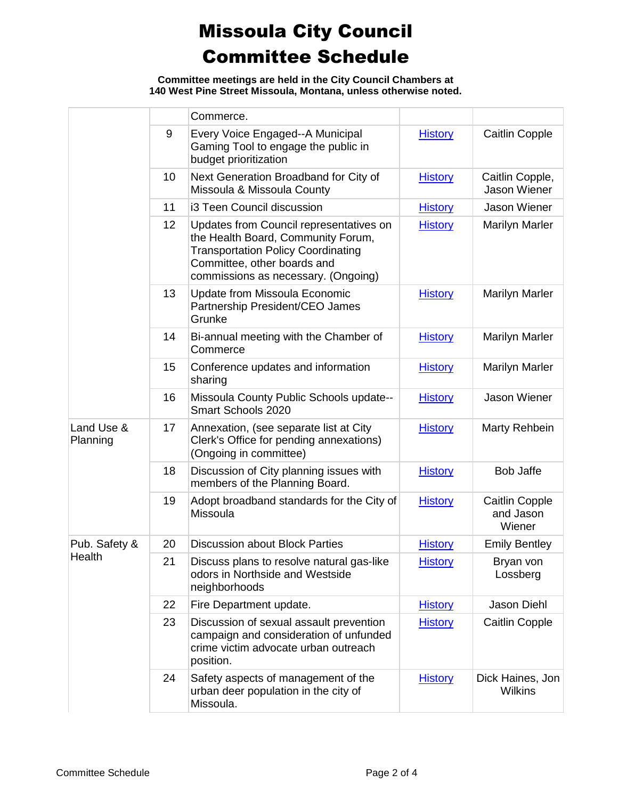## Missoula City Council Committee Schedule

**Committee meetings are held in the City Council Chambers at 140 West Pine Street Missoula, Montana, unless otherwise noted.**

|                        |    | Commerce.                                                                                                                                                                                        |                |                                              |
|------------------------|----|--------------------------------------------------------------------------------------------------------------------------------------------------------------------------------------------------|----------------|----------------------------------------------|
|                        | 9  | Every Voice Engaged--A Municipal<br>Gaming Tool to engage the public in<br>budget prioritization                                                                                                 | <b>History</b> | Caitlin Copple                               |
|                        | 10 | Next Generation Broadband for City of<br>Missoula & Missoula County                                                                                                                              | <b>History</b> | Caitlin Copple,<br><b>Jason Wiener</b>       |
|                        | 11 | i3 Teen Council discussion                                                                                                                                                                       | <b>History</b> | <b>Jason Wiener</b>                          |
|                        | 12 | Updates from Council representatives on<br>the Health Board, Community Forum,<br><b>Transportation Policy Coordinating</b><br>Committee, other boards and<br>commissions as necessary. (Ongoing) | <b>History</b> | <b>Marilyn Marler</b>                        |
|                        | 13 | Update from Missoula Economic<br>Partnership President/CEO James<br>Grunke                                                                                                                       | <b>History</b> | <b>Marilyn Marler</b>                        |
|                        | 14 | Bi-annual meeting with the Chamber of<br>Commerce                                                                                                                                                | <b>History</b> | <b>Marilyn Marler</b>                        |
|                        | 15 | Conference updates and information<br>sharing                                                                                                                                                    | <b>History</b> | <b>Marilyn Marler</b>                        |
|                        | 16 | Missoula County Public Schools update--<br>Smart Schools 2020                                                                                                                                    | <b>History</b> | <b>Jason Wiener</b>                          |
| Land Use &<br>Planning | 17 | Annexation, (see separate list at City<br>Clerk's Office for pending annexations)<br>(Ongoing in committee)                                                                                      | <b>History</b> | Marty Rehbein                                |
|                        | 18 | Discussion of City planning issues with<br>members of the Planning Board.                                                                                                                        | <b>History</b> | <b>Bob Jaffe</b>                             |
|                        | 19 | Adopt broadband standards for the City of<br>Missoula                                                                                                                                            | <b>History</b> | <b>Caitlin Copple</b><br>and Jason<br>Wiener |
| Pub. Safety &          | 20 | <b>Discussion about Block Parties</b>                                                                                                                                                            | <b>History</b> | <b>Emily Bentley</b>                         |
| Health                 | 21 | Discuss plans to resolve natural gas-like<br>odors in Northside and Westside<br>neighborhoods                                                                                                    | <b>History</b> | Bryan von<br>Lossberg                        |
|                        | 22 | Fire Department update.                                                                                                                                                                          | <b>History</b> | Jason Diehl                                  |
|                        | 23 | Discussion of sexual assault prevention<br>campaign and consideration of unfunded<br>crime victim advocate urban outreach<br>position.                                                           | <b>History</b> | <b>Caitlin Copple</b>                        |
|                        | 24 | Safety aspects of management of the<br>urban deer population in the city of<br>Missoula.                                                                                                         | <b>History</b> | Dick Haines, Jon<br><b>Wilkins</b>           |